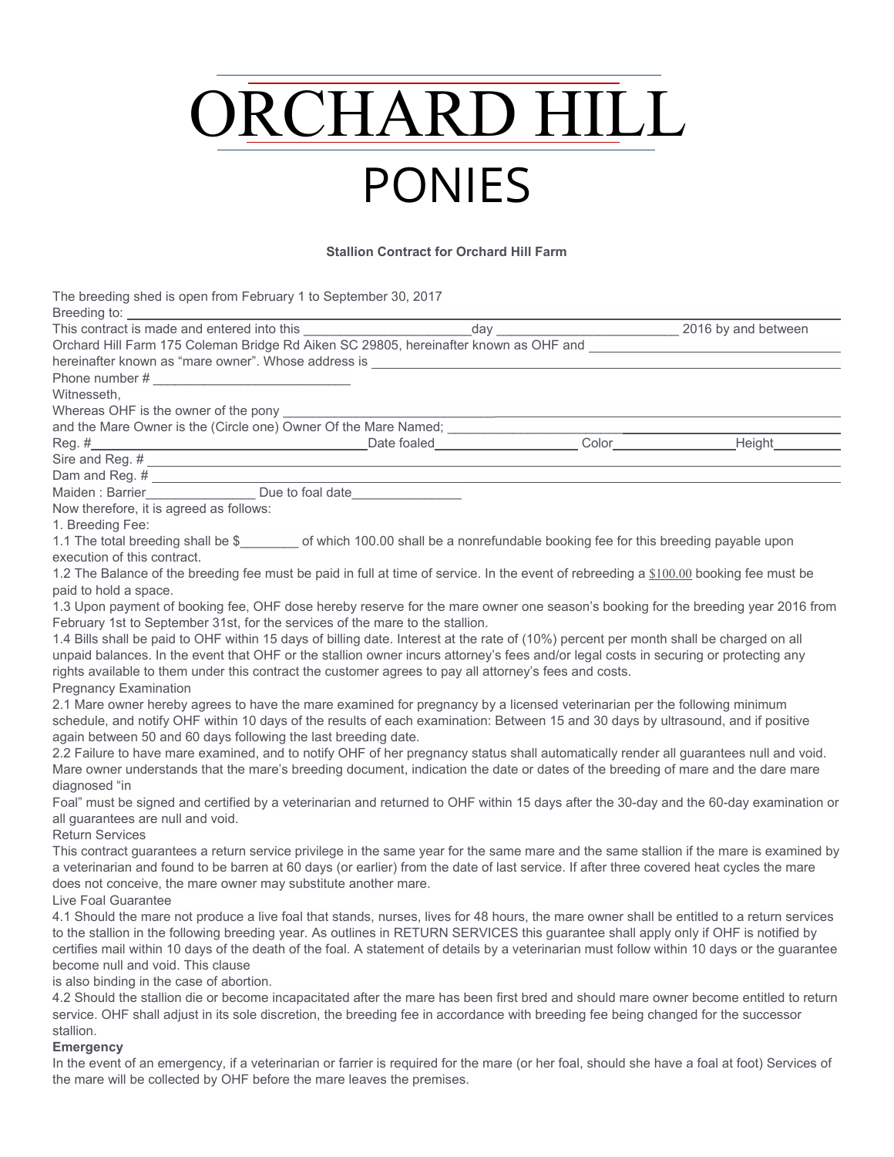# ORCHARD HILL PONIES

#### **Stallion Contract for Orchard Hill Farm**

The breeding shed is open from February 1 to September 30, 2017 Breeding to:

| Breeding to:                                                                                                                                 |  |  |
|----------------------------------------------------------------------------------------------------------------------------------------------|--|--|
|                                                                                                                                              |  |  |
|                                                                                                                                              |  |  |
|                                                                                                                                              |  |  |
|                                                                                                                                              |  |  |
| Witnesseth.                                                                                                                                  |  |  |
| Whereas OHF is the owner of the pony _____                                                                                                   |  |  |
|                                                                                                                                              |  |  |
|                                                                                                                                              |  |  |
|                                                                                                                                              |  |  |
| Dam and Reg. #<br>Maiden : Barrier Due to foal date                                                                                          |  |  |
|                                                                                                                                              |  |  |
| Now therefore, it is agreed as follows:                                                                                                      |  |  |
| 1. Breeding Fee:                                                                                                                             |  |  |
| 1.1 The total breeding shall be \$ ________ of which 100.00 shall be a nonrefundable booking fee for this breeding payable upon              |  |  |
| execution of this contract.                                                                                                                  |  |  |
| 1.2 The Balance of the breeding fee must be paid in full at time of service. In the event of rebreeding a \$100.00 booking fee must be       |  |  |
| paid to hold a space.                                                                                                                        |  |  |
| 1.3 Upon payment of booking fee, OHF dose hereby reserve for the mare owner one season's booking for the breeding year 2016 from             |  |  |
| February 1st to September 31st, for the services of the mare to the stallion.                                                                |  |  |
| 1.4 Bills shall be paid to OHF within 15 days of billing date. Interest at the rate of (10%) percent per month shall be charged on all       |  |  |
| unpaid balances. In the event that OHF or the stallion owner incurs attorney's fees and/or legal costs in securing or protecting any         |  |  |
| rights available to them under this contract the customer agrees to pay all attorney's fees and costs.                                       |  |  |
| <b>Pregnancy Examination</b>                                                                                                                 |  |  |
| 2.1 Mare owner hereby agrees to have the mare examined for pregnancy by a licensed veterinarian per the following minimum                    |  |  |
| schedule, and notify OHF within 10 days of the results of each examination: Between 15 and 30 days by ultrasound, and if positive            |  |  |
| again between 50 and 60 days following the last breeding date.                                                                               |  |  |
| 2.2 Failure to have mare examined, and to notify OHF of her pregnancy status shall automatically render all guarantees null and void.        |  |  |
| Mare owner understands that the mare's breeding document, indication the date or dates of the breeding of mare and the dare mare             |  |  |
| diagnosed "in                                                                                                                                |  |  |
| Foal" must be signed and certified by a veterinarian and returned to OHF within 15 days after the 30-day and the 60-day examination or       |  |  |
| all guarantees are null and void.<br><b>Return Services</b>                                                                                  |  |  |
| This contract guarantees a return service privilege in the same year for the same mare and the same stallion if the mare is examined by      |  |  |
| a veterinarian and found to be barren at 60 days (or earlier) from the date of last service. If after three covered heat cycles the mare     |  |  |
| does not conceive, the mare owner may substitute another mare.                                                                               |  |  |
| Live Foal Guarantee                                                                                                                          |  |  |
| 4.1 Should the mare not produce a live foal that stands, nurses, lives for 48 hours, the mare owner shall be entitled to a return services   |  |  |
| to the stallion in the following breeding year. As outlines in RETURN SERVICES this guarantee shall apply only if OHF is notified by         |  |  |
| certifies mail within 10 days of the death of the foal. A statement of details by a veterinarian must follow within 10 days or the guarantee |  |  |
| become null and void. This clause                                                                                                            |  |  |
| is also binding in the case of abortion.                                                                                                     |  |  |
| 4.2 Should the stallion die or become incapacitated after the mare has been first bred and should mare owner become entitled to return       |  |  |
| service. OHF shall adjust in its sole discretion, the breeding fee in accordance with breeding fee being changed for the successor           |  |  |
| stallion.                                                                                                                                    |  |  |
|                                                                                                                                              |  |  |

#### **Emergency**

In the event of an emergency, if a veterinarian or farrier is required for the mare (or her foal, should she have a foal at foot) Services of the mare will be collected by OHF before the mare leaves the premises.